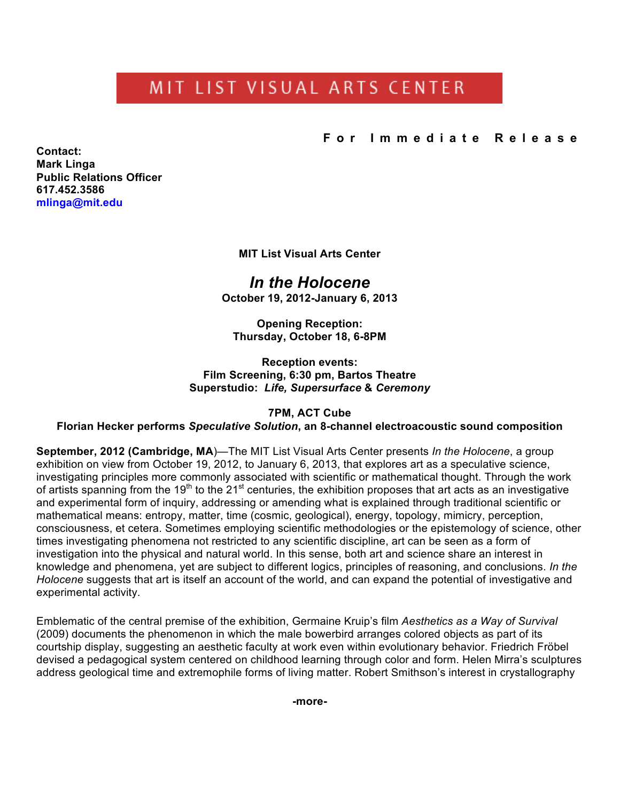# MIT LIST VISUAL ARTS CENTER

**For Immediate Release**

**Contact: Mark Linga Public Relations Officer [617.452.3586](tel:6174523586) [mlinga@mit.edu](mailto:mlinga@mit.edu)**

**MIT List Visual Arts Center**

*In the Holocene* **October 19, 2012-January 6, 2013**

**Opening Reception: Thursday, October 18, 6-8PM**

**Reception events: Film Screening, 6:30 pm, Bartos Theatre Superstudio:** *Life, Supersurface* **&** *Ceremony*

## **7PM, ACT Cube**

**Florian Hecker performs** *Speculative Solution***, an 8-channel electroacoustic sound composition**

**September, 2012 (Cambridge, MA**)—The MIT List Visual Arts Center presents *In the Holocene*, a group exhibition on view from October 19, 2012, to January 6, 2013, that explores art as a speculative science, investigating principles more commonly associated with scientific or mathematical thought. Through the work of artists spanning from the 19<sup>th</sup> to the 21<sup>st</sup> centuries, the exhibition proposes that art acts as an investigative and experimental form of inquiry, addressing or amending what is explained through traditional scientific or mathematical means: entropy, matter, time (cosmic, geological), energy, topology, mimicry, perception, consciousness, et cetera. Sometimes employing scientific methodologies or the epistemology of science, other times investigating phenomena not restricted to any scientific discipline, art can be seen as a form of investigation into the physical and natural world. In this sense, both art and science share an interest in knowledge and phenomena, yet are subject to different logics, principles of reasoning, and conclusions. *In the Holocene* suggests that art is itself an account of the world, and can expand the potential of investigative and experimental activity.

Emblematic of the central premise of the exhibition, Germaine Kruip's film *Aesthetics as a Way of Survival* (2009) documents the phenomenon in which the male bowerbird arranges colored objects as part of its courtship display, suggesting an aesthetic faculty at work even within evolutionary behavior. Friedrich Fröbel devised a pedagogical system centered on childhood learning through color and form. Helen Mirra's sculptures address geological time and extremophile forms of living matter. Robert Smithson's interest in crystallography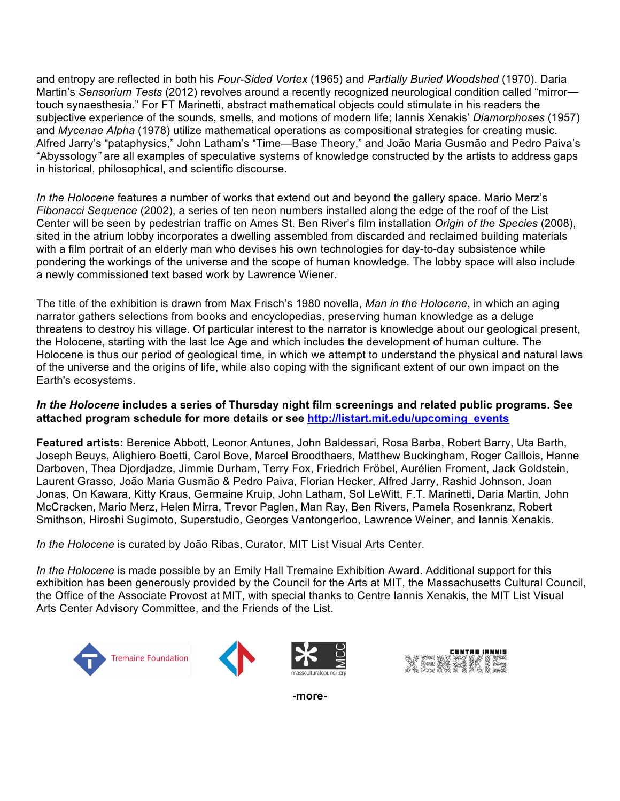and entropy are reflected in both his *Four-Sided Vortex* (1965) and *Partially Buried Woodshed* (1970). Daria Martin's *Sensorium Tests* (2012) revolves around a recently recognized neurological condition called "mirror touch synaesthesia." For FT Marinetti, abstract mathematical objects could stimulate in his readers the subjective experience of the sounds, smells, and motions of modern life; Iannis Xenakis' *Diamorphoses* (1957) and *Mycenae Alpha* (1978) utilize mathematical operations as compositional strategies for creating music. Alfred Jarry's "pataphysics," John Latham's "Time—Base Theory," and João Maria Gusmão and Pedro Paiva's "Abyssology*"* are all examples of speculative systems of knowledge constructed by the artists to address gaps in historical, philosophical, and scientific discourse.

*In the Holocene* features a number of works that extend out and beyond the gallery space. Mario Merz's *Fibonacci Sequence* (2002), a series of ten neon numbers installed along the edge of the roof of the List Center will be seen by pedestrian traffic on Ames St. Ben River's film installation *Origin of the Species* (2008), sited in the atrium lobby incorporates a dwelling assembled from discarded and reclaimed building materials with a film portrait of an elderly man who devises his own technologies for day-to-day subsistence while pondering the workings of the universe and the scope of human knowledge*.* The lobby space will also include a newly commissioned text based work by Lawrence Wiener.

The title of the exhibition is drawn from Max Frisch's 1980 novella, *Man in the Holocene*, in which an aging narrator gathers selections from books and encyclopedias, preserving human knowledge as a deluge threatens to destroy his village. Of particular interest to the narrator is knowledge about our geological present, the Holocene, starting with the last Ice Age and which includes the development of human culture. The Holocene is thus our period of geological time, in which we attempt to understand the physical and natural laws of the universe and the origins of life, while also coping with the significant extent of our own impact on the Earth's ecosystems.

#### *In the Holocene* **includes a series of Thursday night film screenings and related public programs. See attached program schedule for more details or see [http://listart.mit.edu/upcoming\\_events](http://listart.mit.edu/upcoming_events)**

**Featured artists:** Berenice Abbott, Leonor Antunes, John Baldessari, Rosa Barba, Robert Barry, Uta Barth, Joseph Beuys, Alighiero Boetti, Carol Bove, Marcel Broodthaers, Matthew Buckingham, Roger Caillois, Hanne Darboven, Thea Djordjadze, Jimmie Durham, Terry Fox, Friedrich Fröbel, Aurélien Froment, Jack Goldstein, Laurent Grasso, João Maria Gusmão & Pedro Paiva, Florian Hecker, Alfred Jarry, Rashid Johnson, Joan Jonas, On Kawara, Kitty Kraus, Germaine Kruip, John Latham, Sol LeWitt, F.T. Marinetti, Daria Martin, John McCracken, Mario Merz, Helen Mirra, Trevor Paglen, Man Ray, Ben Rivers, Pamela Rosenkranz, Robert Smithson, Hiroshi Sugimoto, Superstudio, Georges Vantongerloo, Lawrence Weiner, and Iannis Xenakis.

*In the Holocene* is curated by João Ribas, Curator, MIT List Visual Arts Center.

*In the Holocene* is made possible by an Emily Hall Tremaine Exhibition Award. Additional support for this exhibition has been generously provided by the Council for the Arts at MIT, the Massachusetts Cultural Council, the Office of the Associate Provost at MIT, with special thanks to Centre Iannis Xenakis, the MIT List Visual Arts Center Advisory Committee, and the Friends of the List.





**-more-**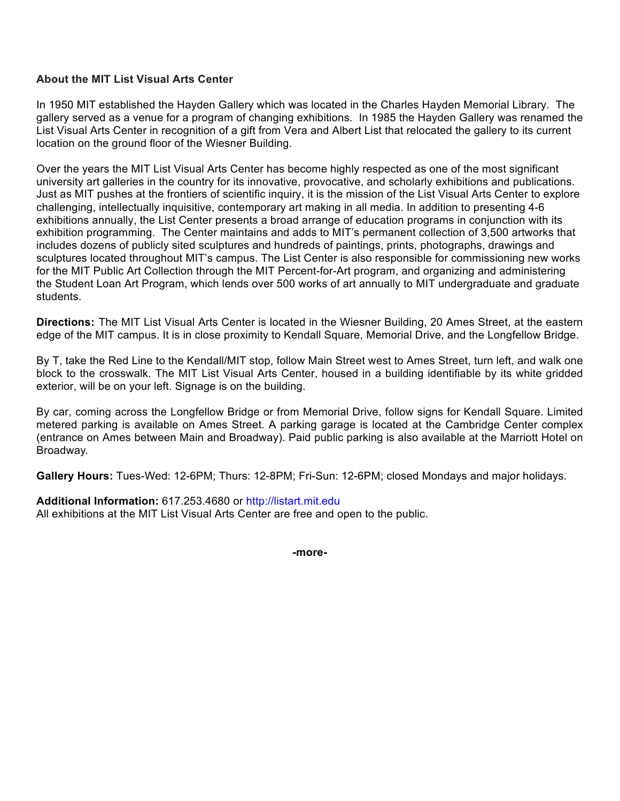## **About the MIT List Visual Arts Center**

In 1950 MIT established the Hayden Gallery which was located in the Charles Hayden Memorial Library. The gallery served as a venue for a program of changing exhibitions. In 1985 the Hayden Gallery was renamed the List Visual Arts Center in recognition of a gift from Vera and Albert List that relocated the gallery to its current location on the ground floor of the Wiesner Building.

Over the years the MIT List Visual Arts Center has become highly respected as one of the most significant university art galleries in the country for its innovative, provocative, and scholarly exhibitions and publications. Just as MIT pushes at the frontiers of scientific inquiry, it is the mission of the List Visual Arts Center to explore challenging, intellectually inquisitive, contemporary art making in all media. In addition to presenting 4-6 exhibitions annually, the List Center presents a broad arrange of education programs in conjunction with its exhibition programming. The Center maintains and adds to MIT's permanent collection of 3,500 artworks that includes dozens of publicly sited sculptures and hundreds of paintings, prints, photographs, drawings and sculptures located throughout MIT's campus. The List Center is also responsible for commissioning new works for the MIT Public Art Collection through the MIT Percent-for-Art program, and organizing and administering the Student Loan Art Program, which lends over 500 works of art annually to MIT undergraduate and graduate students.

**Directions:** The MIT List Visual Arts Center is located in the Wiesner Building, 20 Ames Street, at the eastern edge of the MIT campus. It is in close proximity to Kendall Square, Memorial Drive, and the Longfellow Bridge.

By T, take the Red Line to the Kendall/MIT stop, follow Main Street west to Ames Street, turn left, and walk one block to the crosswalk. The MIT List Visual Arts Center, housed in a building identifiable by its white gridded exterior, will be on your left. Signage is on the building.

By car, coming across the Longfellow Bridge or from Memorial Drive, follow signs for Kendall Square. Limited metered parking is available on Ames Street. A parking garage is located at the Cambridge Center complex (entrance on Ames between Main and Broadway). Paid public parking is also available at the Marriott Hotel on Broadway.

**Gallery Hours:** Tues-Wed: 12-6PM; Thurs: 12-8PM; Fri-Sun: 12-6PM; closed Mondays and major holidays.

#### **Additional Information:** [617.253.4680](tel:6172534680) or <http://listart.mit.edu>

All exhibitions at the MIT List Visual Arts Center are free and open to the public.

**-more-**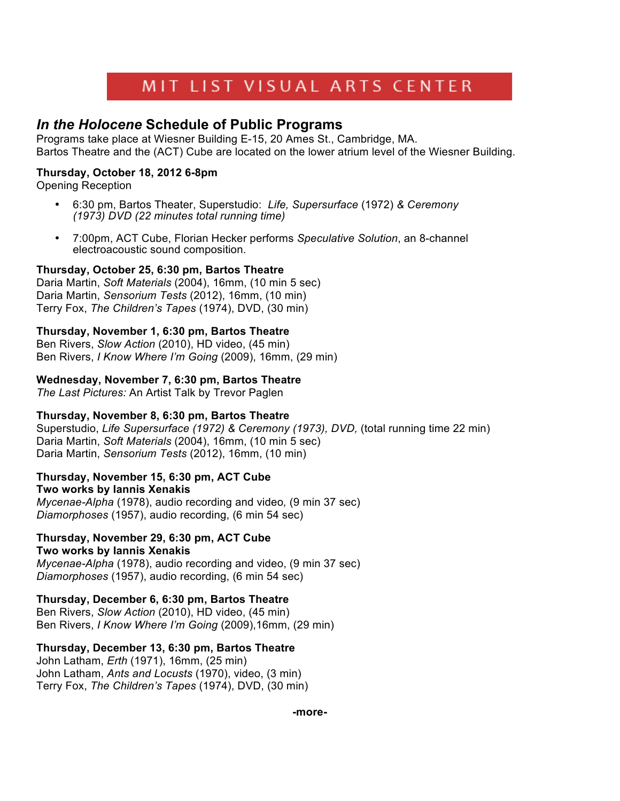# MIT LIST VISUAL ARTS CENTER

# *In the Holocene* **Schedule of Public Programs**

Programs take place at Wiesner Building E-15, 20 Ames St., Cambridge, MA. Bartos Theatre and the (ACT) Cube are located on the lower atrium level of the Wiesner Building.

# **Thursday, October 18, 2012 6-8pm**

Opening Reception

- 6:30 pm, Bartos Theater, Superstudio: *Life, Supersurface* (1972) *& Ceremony (1973) DVD (22 minutes total running time)*
- 7:00pm, ACT Cube, Florian Hecker performs *Speculative Solution*, an 8-channel electroacoustic sound composition.

# **Thursday, October 25, 6:30 pm, Bartos Theatre**

Daria Martin, *Soft Materials* (2004), 16mm, (10 min 5 sec) Daria Martin, *Sensorium Tests* (2012), 16mm, (10 min) Terry Fox, *The Children's Tapes* (1974), DVD, (30 min)

## **Thursday, November 1, 6:30 pm, Bartos Theatre**

Ben Rivers, *Slow Action* (2010), HD video, (45 min) Ben Rivers, *I Know Where I'm Going* (2009), 16mm, (29 min)

## **Wednesday, November 7, 6:30 pm, Bartos Theatre**

*The Last Pictures:* An Artist Talk by Trevor Paglen

## **Thursday, November 8, 6:30 pm, Bartos Theatre**

Superstudio, *Life Supersurface (1972) & Ceremony (1973), DVD,* (total running time 22 min) Daria Martin, *Soft Materials* (2004), 16mm, (10 min 5 sec) Daria Martin, *Sensorium Tests* (2012), 16mm, (10 min)

#### **Thursday, November 15, 6:30 pm, ACT Cube Two works by Iannis Xenakis**

*Mycenae-Alpha* (1978), audio recording and video*,* (9 min 37 sec) *Diamorphoses* (1957), audio recording, (6 min 54 sec)

# **Thursday, November 29, 6:30 pm, ACT Cube**

# **Two works by Iannis Xenakis**

*Mycenae-Alpha* (1978), audio recording and video, (9 min 37 sec) *Diamorphoses* (1957), audio recording, (6 min 54 sec)

## **Thursday, December 6, 6:30 pm, Bartos Theatre**

Ben Rivers, *Slow Action* (2010), HD video, (45 min) Ben Rivers, *I Know Where I'm Going* (2009),16mm, (29 min)

## **Thursday, December 13, 6:30 pm, Bartos Theatre**

John Latham, *Erth* (1971), 16mm, (25 min) John Latham, *Ants and Locusts* (1970), video, (3 min) Terry Fox, *The Children's Tapes* (1974), DVD, (30 min)

**-more-**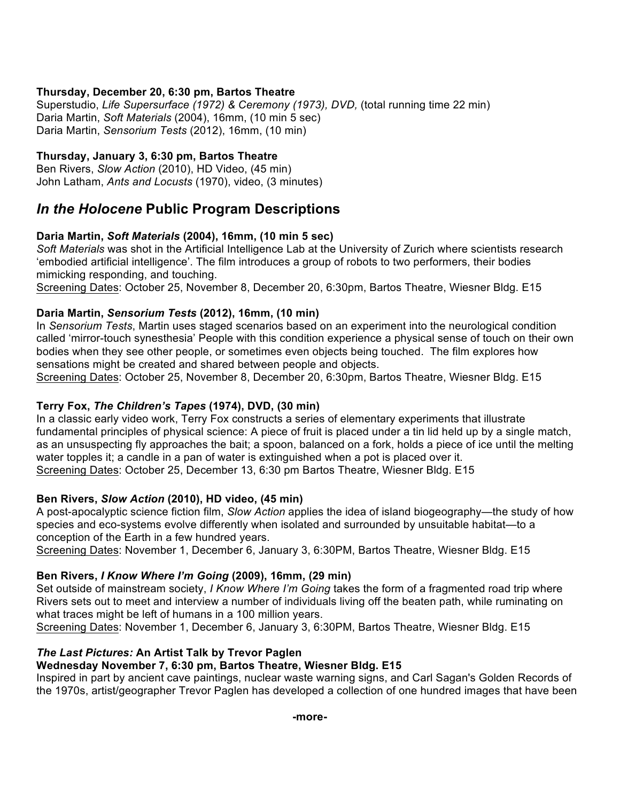# **Thursday, December 20, 6:30 pm, Bartos Theatre**

Superstudio, *Life Supersurface (1972) & Ceremony (1973), DVD,* (total running time 22 min) Daria Martin, *Soft Materials* (2004), 16mm, (10 min 5 sec) Daria Martin, *Sensorium Tests* (2012), 16mm, (10 min)

# **Thursday, January 3, 6:30 pm, Bartos Theatre**

Ben Rivers, *Slow Action* (2010), HD Video, (45 min) John Latham, *Ants and Locusts* (1970), video, (3 minutes)

# *In the Holocene* **Public Program Descriptions**

## **Daria Martin,** *Soft Materials* **(2004), 16mm, (10 min 5 sec)**

*Soft Materials* was shot in the Artificial Intelligence Lab at the University of Zurich where scientists research 'embodied artificial intelligence'. The film introduces a group of robots to two performers, their bodies mimicking responding, and touching.

Screening Dates: October 25, November 8, December 20, 6:30pm, Bartos Theatre, Wiesner Bldg. E15

## **Daria Martin,** *Sensorium Tests* **(2012), 16mm, (10 min)**

In *Sensorium Tests*, Martin uses staged scenarios based on an experiment into the neurological condition called 'mirror-touch synesthesia' People with this condition experience a physical sense of touch on their own bodies when they see other people, or sometimes even objects being touched. The film explores how sensations might be created and shared between people and objects.

Screening Dates: October 25, November 8, December 20, 6:30pm, Bartos Theatre, Wiesner Bldg. E15

# **Terry Fox,** *The Children's Tapes* **(1974), DVD, (30 min)**

In a classic early video work, Terry Fox constructs a series of elementary experiments that illustrate fundamental principles of physical science: A piece of fruit is placed under a tin lid held up by a single match, as an unsuspecting fly approaches the bait; a spoon, balanced on a fork, holds a piece of ice until the melting water topples it; a candle in a pan of water is extinguished when a pot is placed over it. Screening Dates: October 25, December 13, 6:30 pm Bartos Theatre, Wiesner Bldg. E15

## **Ben Rivers,** *Slow Action* **(2010), HD video, (45 min)**

A post-apocalyptic science fiction film, *Slow Action* applies the idea of island biogeography—the study of how species and eco-systems evolve differently when isolated and surrounded by unsuitable habitat—to a conception of the Earth in a few hundred years.

Screening Dates: November 1, December 6, January 3, 6:30PM, Bartos Theatre, Wiesner Bldg. E15

## **Ben Rivers,** *I Know Where I'm Going* **(2009), 16mm, (29 min)**

Set outside of mainstream society, *I Know Where I'm Going* takes the form of a fragmented road trip where Rivers sets out to meet and interview a number of individuals living off the beaten path, while ruminating on what traces might be left of humans in a 100 million years.

Screening Dates: November 1, December 6, January 3, 6:30PM, Bartos Theatre, Wiesner Bldg. E15

## *The Last Pictures:* **An Artist Talk by Trevor Paglen**

## **Wednesday November 7, 6:30 pm, Bartos Theatre, Wiesner Bldg. E15**

Inspired in part by ancient cave paintings, nuclear waste warning signs, and Carl Sagan's Golden Records of the 1970s, artist/geographer Trevor Paglen has developed a collection of one hundred images that have been